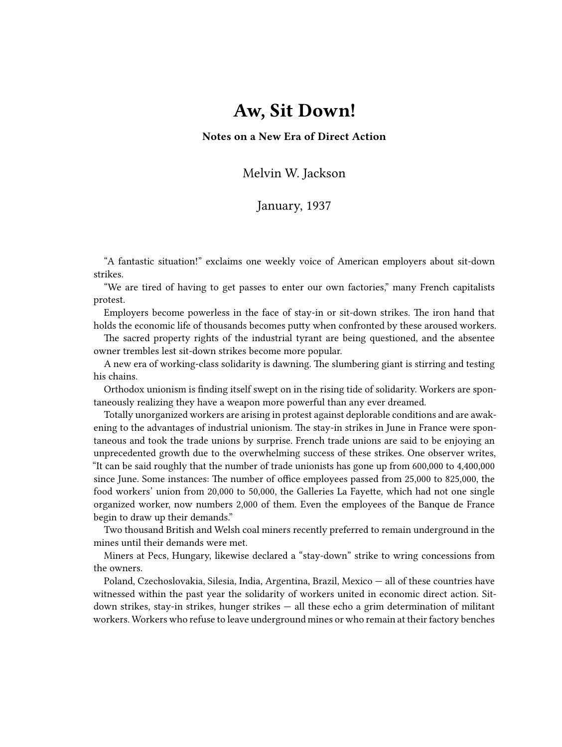## **Aw, Sit Down!**

**Notes on a New Era of Direct Action**

Melvin W. Jackson

## January, 1937

"A fantastic situation!" exclaims one weekly voice of American employers about sit-down strikes.

"We are tired of having to get passes to enter our own factories," many French capitalists protest.

Employers become powerless in the face of stay-in or sit-down strikes. The iron hand that holds the economic life of thousands becomes putty when confronted by these aroused workers.

The sacred property rights of the industrial tyrant are being questioned, and the absentee owner trembles lest sit-down strikes become more popular.

A new era of working-class solidarity is dawning. The slumbering giant is stirring and testing his chains.

Orthodox unionism is finding itself swept on in the rising tide of solidarity. Workers are spontaneously realizing they have a weapon more powerful than any ever dreamed.

Totally unorganized workers are arising in protest against deplorable conditions and are awakening to the advantages of industrial unionism. The stay-in strikes in June in France were spontaneous and took the trade unions by surprise. French trade unions are said to be enjoying an unprecedented growth due to the overwhelming success of these strikes. One observer writes, "It can be said roughly that the number of trade unionists has gone up from 600,000 to 4,400,000 since June. Some instances: The number of office employees passed from 25,000 to 825,000, the food workers' union from 20,000 to 50,000, the Galleries La Fayette, which had not one single organized worker, now numbers 2,000 of them. Even the employees of the Banque de France begin to draw up their demands."

Two thousand British and Welsh coal miners recently preferred to remain underground in the mines until their demands were met.

Miners at Pecs, Hungary, likewise declared a "stay-down" strike to wring concessions from the owners.

Poland, Czechoslovakia, Silesia, India, Argentina, Brazil, Mexico — all of these countries have witnessed within the past year the solidarity of workers united in economic direct action. Sitdown strikes, stay-in strikes, hunger strikes — all these echo a grim determination of militant workers. Workers who refuse to leave underground mines or who remain at their factory benches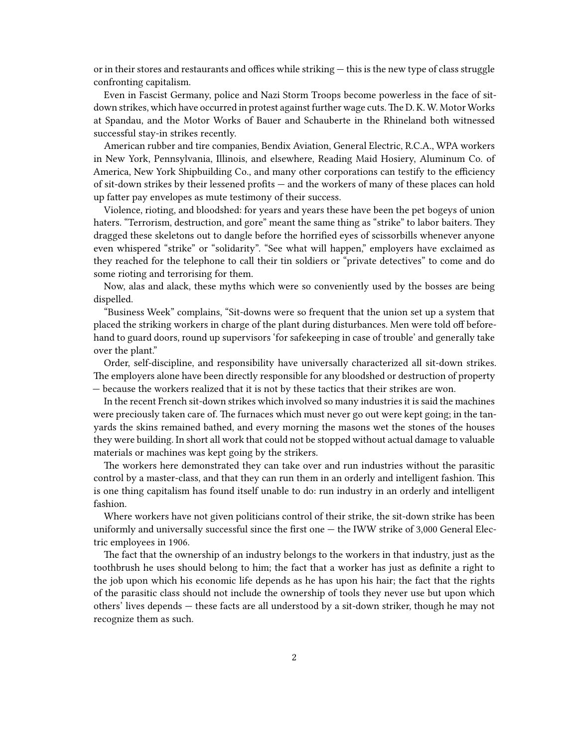or in their stores and restaurants and offices while striking — this is the new type of class struggle confronting capitalism.

Even in Fascist Germany, police and Nazi Storm Troops become powerless in the face of sitdown strikes, which have occurred in protest against further wage cuts. The D. K. W. Motor Works at Spandau, and the Motor Works of Bauer and Schauberte in the Rhineland both witnessed successful stay-in strikes recently.

American rubber and tire companies, Bendix Aviation, General Electric, R.C.A., WPA workers in New York, Pennsylvania, Illinois, and elsewhere, Reading Maid Hosiery, Aluminum Co. of America, New York Shipbuilding Co., and many other corporations can testify to the efficiency of sit-down strikes by their lessened profits — and the workers of many of these places can hold up fatter pay envelopes as mute testimony of their success.

Violence, rioting, and bloodshed: for years and years these have been the pet bogeys of union haters. "Terrorism, destruction, and gore" meant the same thing as "strike" to labor baiters. They dragged these skeletons out to dangle before the horrified eyes of scissorbills whenever anyone even whispered "strike" or "solidarity". "See what will happen," employers have exclaimed as they reached for the telephone to call their tin soldiers or "private detectives" to come and do some rioting and terrorising for them.

Now, alas and alack, these myths which were so conveniently used by the bosses are being dispelled.

"Business Week" complains, "Sit-downs were so frequent that the union set up a system that placed the striking workers in charge of the plant during disturbances. Men were told off beforehand to guard doors, round up supervisors 'for safekeeping in case of trouble' and generally take over the plant."

Order, self-discipline, and responsibility have universally characterized all sit-down strikes. The employers alone have been directly responsible for any bloodshed or destruction of property — because the workers realized that it is not by these tactics that their strikes are won.

In the recent French sit-down strikes which involved so many industries it is said the machines were preciously taken care of. The furnaces which must never go out were kept going; in the tanyards the skins remained bathed, and every morning the masons wet the stones of the houses they were building. In short all work that could not be stopped without actual damage to valuable materials or machines was kept going by the strikers.

The workers here demonstrated they can take over and run industries without the parasitic control by a master-class, and that they can run them in an orderly and intelligent fashion. This is one thing capitalism has found itself unable to do: run industry in an orderly and intelligent fashion.

Where workers have not given politicians control of their strike, the sit-down strike has been uniformly and universally successful since the first one — the IWW strike of 3,000 General Electric employees in 1906.

The fact that the ownership of an industry belongs to the workers in that industry, just as the toothbrush he uses should belong to him; the fact that a worker has just as definite a right to the job upon which his economic life depends as he has upon his hair; the fact that the rights of the parasitic class should not include the ownership of tools they never use but upon which others' lives depends — these facts are all understood by a sit-down striker, though he may not recognize them as such.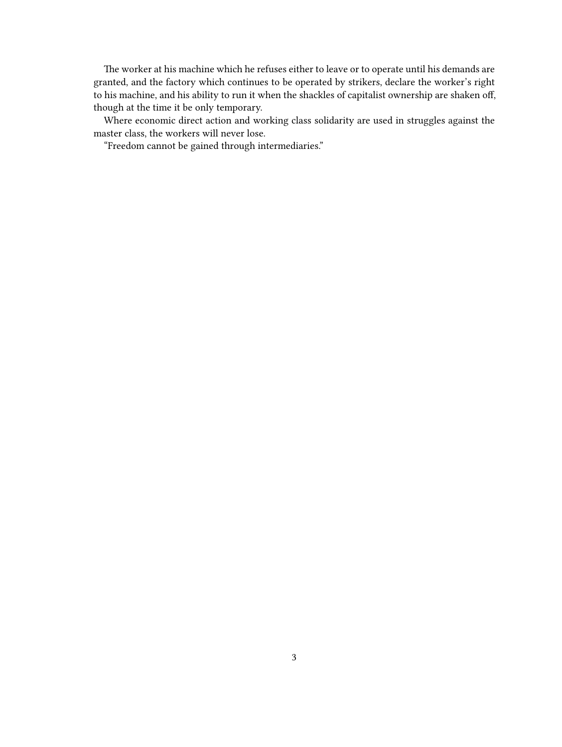The worker at his machine which he refuses either to leave or to operate until his demands are granted, and the factory which continues to be operated by strikers, declare the worker's right to his machine, and his ability to run it when the shackles of capitalist ownership are shaken off, though at the time it be only temporary.

Where economic direct action and working class solidarity are used in struggles against the master class, the workers will never lose.

"Freedom cannot be gained through intermediaries."